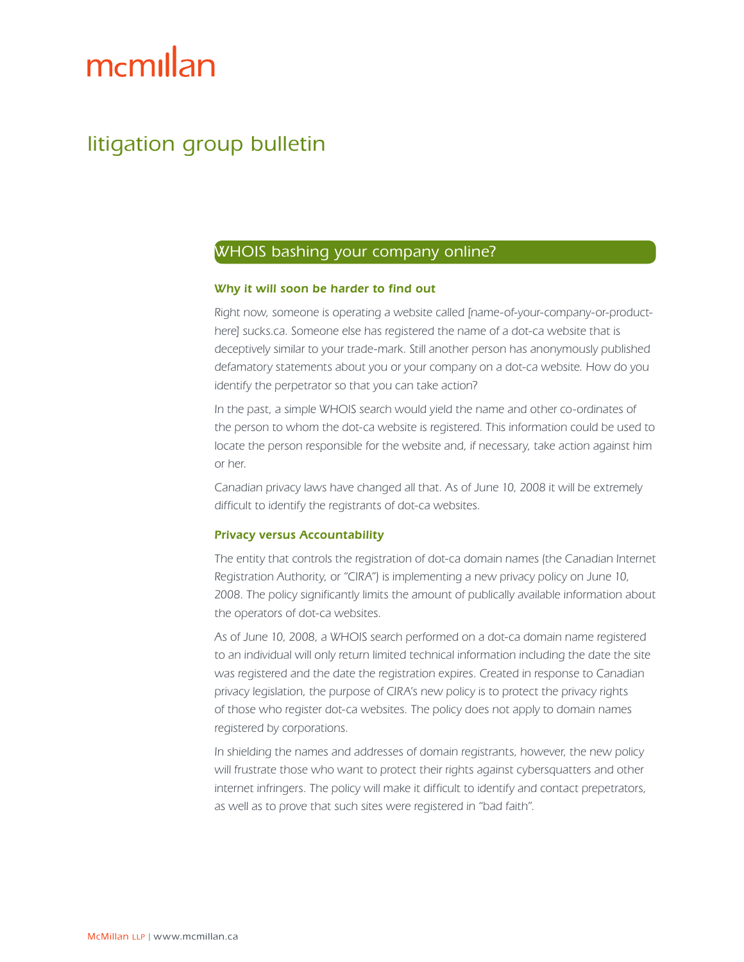# mcmillan

# litigation group bulletin

## WHOIS bashing your company online?

#### Why it will soon be harder to find out

Right now, someone is operating a website called [name-of-your-company-or-producthere] sucks.ca. Someone else has registered the name of a dot-ca website that is deceptively similar to your trade-mark. Still another person has anonymously published defamatory statements about you or your company on a dot-ca website. How do you identify the perpetrator so that you can take action?

In the past, a simple WHOIS search would yield the name and other co-ordinates of the person to whom the dot-ca website is registered. This information could be used to locate the person responsible for the website and, if necessary, take action against him or her.

Canadian privacy laws have changed all that. As of June 10, 2008 it will be extremely difficult to identify the registrants of dot-ca websites.

#### Privacy versus Accountability

The entity that controls the registration of dot-ca domain names (the Canadian Internet Registration Authority, or "CIRA") is implementing a new privacy policy on June 10, 2008. The policy significantly limits the amount of publically available information about the operators of dot-ca websites.

As of June 10, 2008, a WHOIS search performed on a dot-ca domain name registered to an individual will only return limited technical information including the date the site was registered and the date the registration expires. Created in response to Canadian privacy legislation, the purpose of CIRA's new policy is to protect the privacy rights of those who register dot-ca websites. The policy does not apply to domain names registered by corporations.

In shielding the names and addresses of domain registrants, however, the new policy will frustrate those who want to protect their rights against cybersquatters and other internet infringers. The policy will make it difficult to identify and contact prepetrators, as well as to prove that such sites were registered in "bad faith".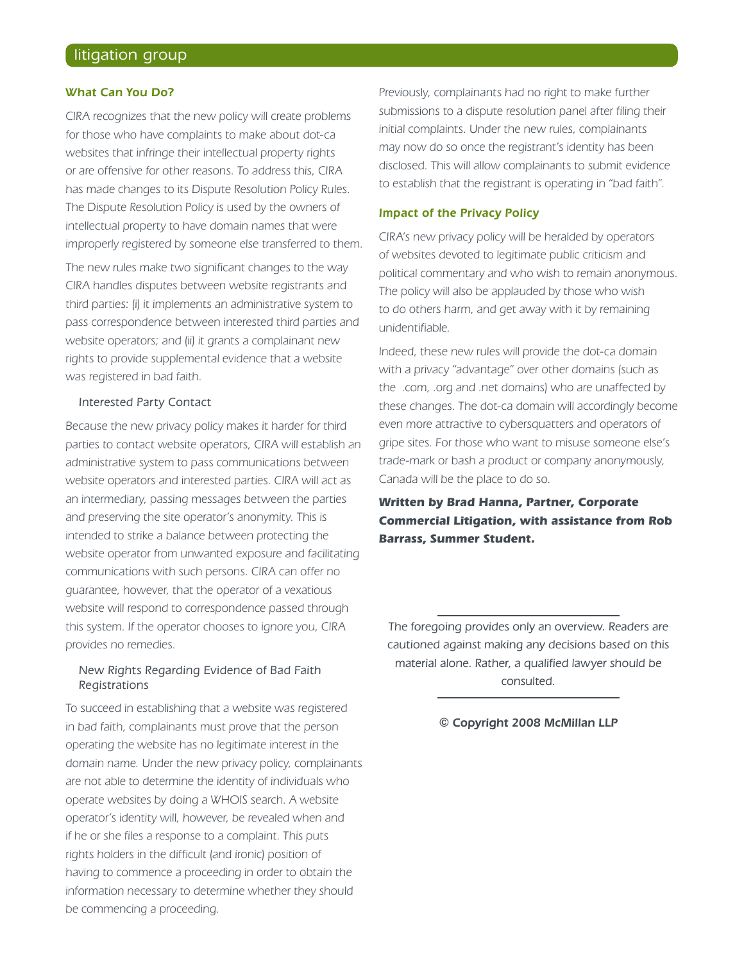#### What Can You Do?

CIRA recognizes that the new policy will create problems for those who have complaints to make about dot-ca websites that infringe their intellectual property rights or are offensive for other reasons. To address this, CIRA has made changes to its Dispute Resolution Policy Rules. The Dispute Resolution Policy is used by the owners of intellectual property to have domain names that were improperly registered by someone else transferred to them.

The new rules make two significant changes to the way CIRA handles disputes between website registrants and third parties: (i) it implements an administrative system to pass correspondence between interested third parties and website operators; and (ii) it grants a complainant new rights to provide supplemental evidence that a website was registered in bad faith.

#### Interested Party Contact

Because the new privacy policy makes it harder for third parties to contact website operators, CIRA will establish an administrative system to pass communications between website operators and interested parties. CIRA will act as an intermediary, passing messages between the parties and preserving the site operator's anonymity. This is intended to strike a balance between protecting the website operator from unwanted exposure and facilitating communications with such persons. CIRA can offer no guarantee, however, that the operator of a vexatious website will respond to correspondence passed through this system. If the operator chooses to ignore you, CIRA provides no remedies.

#### New Rights Regarding Evidence of Bad Faith Registrations

To succeed in establishing that a website was registered in bad faith, complainants must prove that the person operating the website has no legitimate interest in the domain name. Under the new privacy policy, complainants are not able to determine the identity of individuals who operate websites by doing a WHOIS search. A website operator's identity will, however, be revealed when and if he or she files a response to a complaint. This puts rights holders in the difficult (and ironic) position of having to commence a proceeding in order to obtain the information necessary to determine whether they should be commencing a proceeding.

Previously, complainants had no right to make further submissions to a dispute resolution panel after filing their initial complaints. Under the new rules, complainants may now do so once the registrant's identity has been disclosed. This will allow complainants to submit evidence to establish that the registrant is operating in "bad faith".

#### Impact of the Privacy Policy

CIRA's new privacy policy will be heralded by operators of websites devoted to legitimate public criticism and political commentary and who wish to remain anonymous. The policy will also be applauded by those who wish to do others harm, and get away with it by remaining unidentifiable.

Indeed, these new rules will provide the dot-ca domain with a privacy "advantage" over other domains (such as the .com, .org and .net domains) who are unaffected by these changes. The dot-ca domain will accordingly become even more attractive to cybersquatters and operators of gripe sites. For those who want to misuse someone else's trade-mark or bash a product or company anonymously, Canada will be the place to do so.

**Written by [Brad Hanna](mailto:brad.hanna@mcmillan.ca), Partner, Corporate Commercial Litigation, with assistance from Rob Barrass, Summer Student.**

The foregoing provides only an overview. Readers are cautioned against making any decisions based on this material alone. Rather, a qualified lawyer should be consulted.

#### © Copyright 2008 McMillan LLP